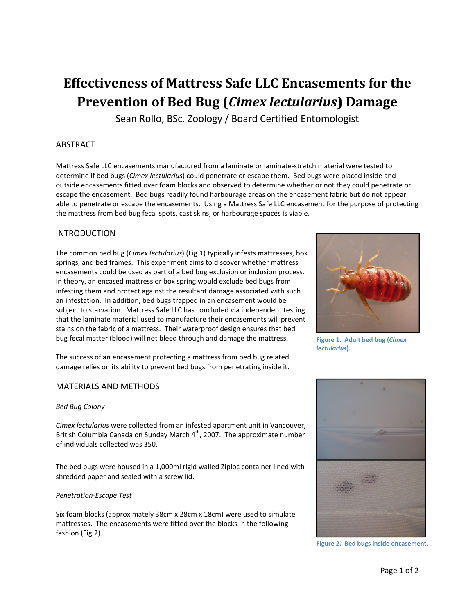# **Effectiveness of Mattress Safe LLC Encasements for the Prevention of Bed Bug (***Cimex lectularius***) Damage**

Sean Rollo, BSc. Zoology / Board Certified Entomologist

## ABSTRACT

Mattress Safe LLC encasements manufactured from a laminate or laminate‐stretch material were tested to determine if bed bugs (*Cimex lectularius*) could penetrate or escape them. Bed bugs were placed inside and outside encasements fitted over foam blocks and observed to determine whether or not they could penetrate or escape the encasement. Bed bugs readily found harbourage areas on the encasement fabric but do not appear able to penetrate or escape the encasements. Using a Mattress Safe LLC encasement for the purpose of protecting the mattress from bed bug fecal spots, cast skins, or harbourage spaces is viable.

## INTRODUCTION

The common bed bug (*Cimex lectularius*) (Fig.1) typically infests mattresses, box springs, and bed frames. This experiment aims to discover whether mattress encasements could be used as part of a bed bug exclusion or inclusion process. In theory, an encased mattress or box spring would exclude bed bugs from infesting them and protect against the resultant damage associated with such an infestation. In addition, bed bugs trapped in an encasement would be subject to starvation. Mattress Safe LLC has concluded via independent testing that the laminate material used to manufacture their encasements will prevent stains on the fabric of a mattress. Their waterproof design ensures that bed bug fecal matter (blood) will not bleed through and damage the mattress.

The success of an encasement protecting a mattress from bed bug related damage relies on its ability to prevent bed bugs from penetrating inside it.

### MATERIALS AND METHODS

#### *Bed Bug Colony*

*Cimex lectularius* were collected from an infested apartment unit in Vancouver, British Columbia Canada on Sunday March  $4<sup>th</sup>$ , 2007. The approximate number of individuals collected was 350.

The bed bugs were housed in a 1,000ml rigid walled Ziploc container lined with shredded paper and sealed with a screw lid.

#### *Penetration‐Escape Test*

Six foam blocks (approximately 38cm x 28cm x 18cm) were used to simulate mattresses. The encasements were fitted over the blocks in the following fashion (Fig.2).



**Figure 1. Adult bed bug (***Cimex lectularius***).**



**Figure 2. Bed bugs inside encasement.**